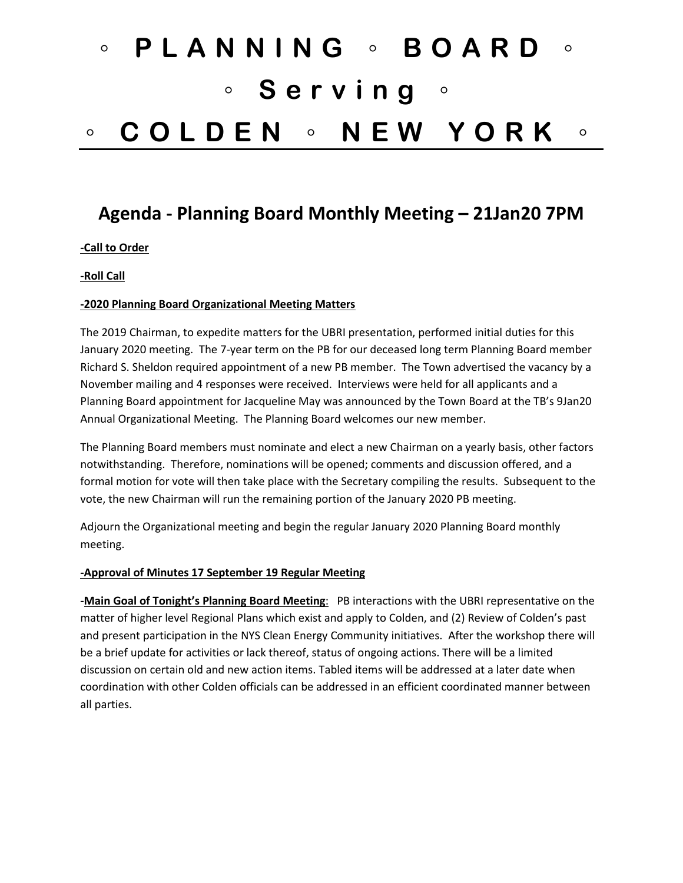# ◦ **PLANNING** ◦ **BOARD** ◦ ◦ **Serving** ◦ ◦ **COLDEN** ◦ **NEW YORK** ◦

# **Agenda - Planning Board Monthly Meeting – 21Jan20 7PM**

### **-Call to Order**

#### **-Roll Call**

#### **-2020 Planning Board Organizational Meeting Matters**

The 2019 Chairman, to expedite matters for the UBRI presentation, performed initial duties for this January 2020 meeting. The 7-year term on the PB for our deceased long term Planning Board member Richard S. Sheldon required appointment of a new PB member. The Town advertised the vacancy by a November mailing and 4 responses were received. Interviews were held for all applicants and a Planning Board appointment for Jacqueline May was announced by the Town Board at the TB's 9Jan20 Annual Organizational Meeting. The Planning Board welcomes our new member.

The Planning Board members must nominate and elect a new Chairman on a yearly basis, other factors notwithstanding. Therefore, nominations will be opened; comments and discussion offered, and a formal motion for vote will then take place with the Secretary compiling the results. Subsequent to the vote, the new Chairman will run the remaining portion of the January 2020 PB meeting.

Adjourn the Organizational meeting and begin the regular January 2020 Planning Board monthly meeting.

#### **-Approval of Minutes 17 September 19 Regular Meeting**

**-Main Goal of Tonight's Planning Board Meeting**: PB interactions with the UBRI representative on the matter of higher level Regional Plans which exist and apply to Colden, and (2) Review of Colden's past and present participation in the NYS Clean Energy Community initiatives. After the workshop there will be a brief update for activities or lack thereof, status of ongoing actions. There will be a limited discussion on certain old and new action items. Tabled items will be addressed at a later date when coordination with other Colden officials can be addressed in an efficient coordinated manner between all parties.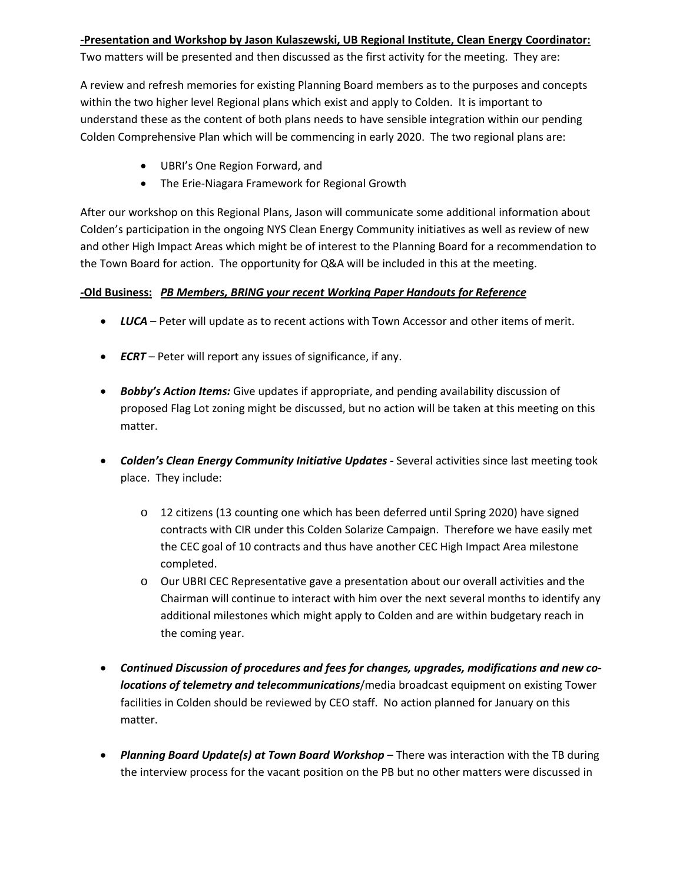## **-Presentation and Workshop by Jason Kulaszewski, UB Regional Institute, Clean Energy Coordinator:**

Two matters will be presented and then discussed as the first activity for the meeting. They are:

A review and refresh memories for existing Planning Board members as to the purposes and concepts within the two higher level Regional plans which exist and apply to Colden. It is important to understand these as the content of both plans needs to have sensible integration within our pending Colden Comprehensive Plan which will be commencing in early 2020. The two regional plans are:

- UBRI's One Region Forward, and
- The Erie-Niagara Framework for Regional Growth

After our workshop on this Regional Plans, Jason will communicate some additional information about Colden's participation in the ongoing NYS Clean Energy Community initiatives as well as review of new and other High Impact Areas which might be of interest to the Planning Board for a recommendation to the Town Board for action. The opportunity for Q&A will be included in this at the meeting.

# **-Old Business:** *PB Members, BRING your recent Working Paper Handouts for Reference*

- *LUCA* Peter will update as to recent actions with Town Accessor and other items of merit.
- *ECRT*  Peter will report any issues of significance, if any.
- *Bobby's Action Items:* Give updates if appropriate, and pending availability discussion of proposed Flag Lot zoning might be discussed, but no action will be taken at this meeting on this matter.
- *Colden's Clean Energy Community Initiative Updates -* Several activities since last meeting took place. They include:
	- o 12 citizens (13 counting one which has been deferred until Spring 2020) have signed contracts with CIR under this Colden Solarize Campaign. Therefore we have easily met the CEC goal of 10 contracts and thus have another CEC High Impact Area milestone completed.
	- o Our UBRI CEC Representative gave a presentation about our overall activities and the Chairman will continue to interact with him over the next several months to identify any additional milestones which might apply to Colden and are within budgetary reach in the coming year.
- *Continued Discussion of procedures and fees for changes, upgrades, modifications and new colocations of telemetry and telecommunications*/media broadcast equipment on existing Tower facilities in Colden should be reviewed by CEO staff. No action planned for January on this matter.
- *Planning Board Update(s) at Town Board Workshop* There was interaction with the TB during the interview process for the vacant position on the PB but no other matters were discussed in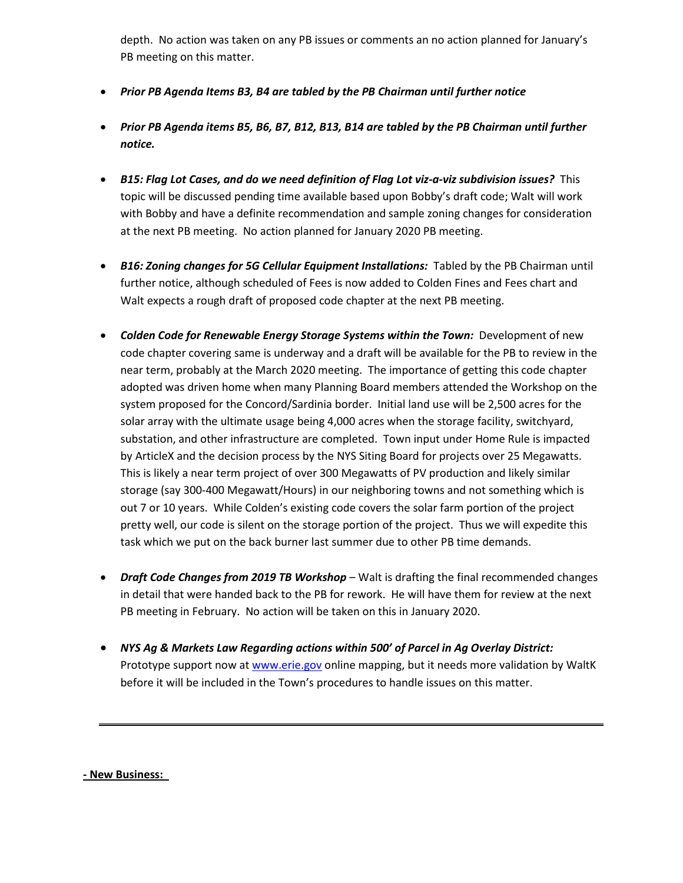depth. No action was taken on any PB issues or comments an no action planned for January's PB meeting on this matter.

- *Prior PB Agenda Items B3, B4 are tabled by the PB Chairman until further notice*
- *Prior PB Agenda items B5, B6, B7, B12, B13, B14 are tabled by the PB Chairman until further notice.*
- *B15: Flag Lot Cases, and do we need definition of Flag Lot viz-a-viz subdivision issues?* This topic will be discussed pending time available based upon Bobby's draft code; Walt will work with Bobby and have a definite recommendation and sample zoning changes for consideration at the next PB meeting. No action planned for January 2020 PB meeting.
- *B16: Zoning changes for 5G Cellular Equipment Installations:* Tabled by the PB Chairman until further notice, although scheduled of Fees is now added to Colden Fines and Fees chart and Walt expects a rough draft of proposed code chapter at the next PB meeting.
- *Colden Code for Renewable Energy Storage Systems within the Town: Development of new* code chapter covering same is underway and a draft will be available for the PB to review in the near term, probably at the March 2020 meeting. The importance of getting this code chapter adopted was driven home when many Planning Board members attended the Workshop on the system proposed for the Concord/Sardinia border. Initial land use will be 2,500 acres for the solar array with the ultimate usage being 4,000 acres when the storage facility, switchyard, substation, and other infrastructure are completed. Town input under Home Rule is impacted by ArticleX and the decision process by the NYS Siting Board for projects over 25 Megawatts. This is likely a near term project of over 300 Megawatts of PV production and likely similar storage (say 300-400 Megawatt/Hours) in our neighboring towns and not something which is out 7 or 10 years. While Colden's existing code covers the solar farm portion of the project pretty well, our code is silent on the storage portion of the project. Thus we will expedite this task which we put on the back burner last summer due to other PB time demands.
- *Draft Code Changes from 2019 TB Workshop* Walt is drafting the final recommended changes in detail that were handed back to the PB for rework. He will have them for review at the next PB meeting in February. No action will be taken on this in January 2020.
- *NYS Ag & Markets Law Regarding actions within 500' of Parcel in Ag Overlay District:*  Prototype support now at [www.erie.gov](http://www.erie.gov/) online mapping, but it needs more validation by WaltK before it will be included in the Town's procedures to handle issues on this matter.

**- New Business:**